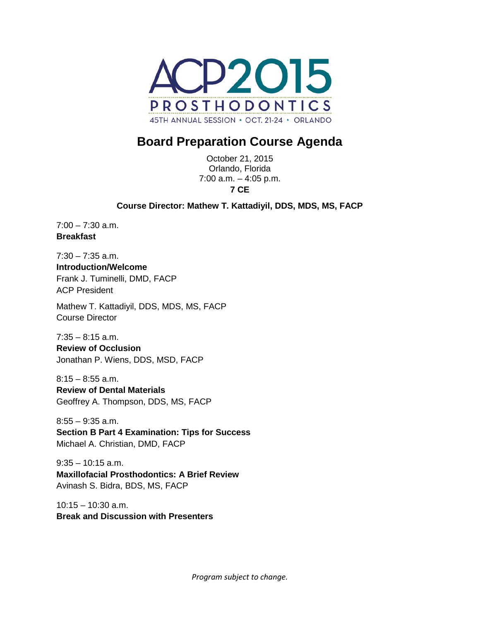

## **Board Preparation Course Agenda**

October 21, 2015 Orlando, Florida 7:00 a.m. – 4:05 p.m. **7 CE**

**Course Director: Mathew T. Kattadiyil, DDS, MDS, MS, FACP**

 $7:00 - 7:30$  a.m. **Breakfast**

 $7:30 - 7:35$  a.m. **Introduction/Welcome** Frank J. Tuminelli, DMD, FACP ACP President

Mathew T. Kattadiyil, DDS, MDS, MS, FACP Course Director

 $7:35 - 8:15$  a.m. **Review of Occlusion** Jonathan P. Wiens, DDS, MSD, FACP

 $8:15 - 8:55$  a.m. **Review of Dental Materials** Geoffrey A. Thompson, DDS, MS, FACP

8:55 – 9:35 a.m. **Section B Part 4 Examination: Tips for Success** Michael A. Christian, DMD, FACP

 $9:35 - 10:15$  a.m. **Maxillofacial Prosthodontics: A Brief Review** Avinash S. Bidra, BDS, MS, FACP

10:15 – 10:30 a.m. **Break and Discussion with Presenters**

*Program subject to change.*